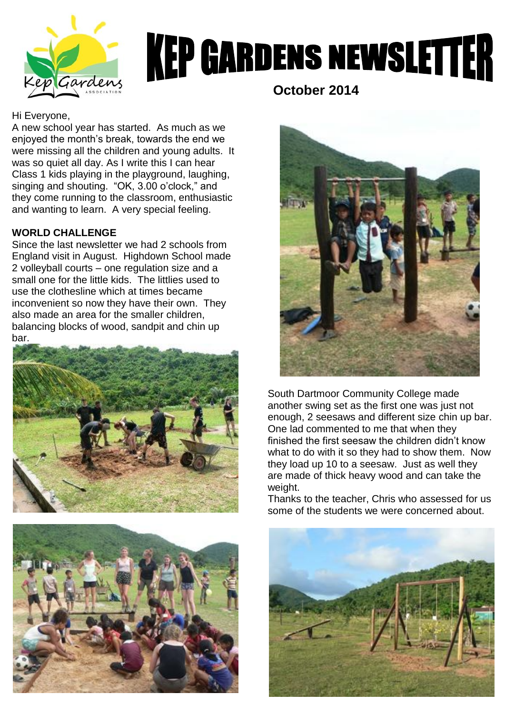

# **KEP GARDENS NEWSLETTER**

### Hi Everyone,

A new school year has started. As much as we enjoyed the month's break, towards the end we were missing all the children and young adults. It was so quiet all day. As I write this I can hear Class 1 kids playing in the playground, laughing, singing and shouting. "OK, 3.00 o'clock," and they come running to the classroom, enthusiastic and wanting to learn. A very special feeling.

## **WORLD CHALLENGE**

Since the last newsletter we had 2 schools from England visit in August. Highdown School made 2 volleyball courts – one regulation size and a small one for the little kids. The littlies used to use the clothesline which at times became inconvenient so now they have their own. They also made an area for the smaller children, balancing blocks of wood, sandpit and chin up bar.





 **October 2014**



South Dartmoor Community College made another swing set as the first one was just not enough, 2 seesaws and different size chin up bar. One lad commented to me that when they finished the first seesaw the children didn't know what to do with it so they had to show them. Now they load up 10 to a seesaw. Just as well they are made of thick heavy wood and can take the weight.

Thanks to the teacher, Chris who assessed for us some of the students we were concerned about.

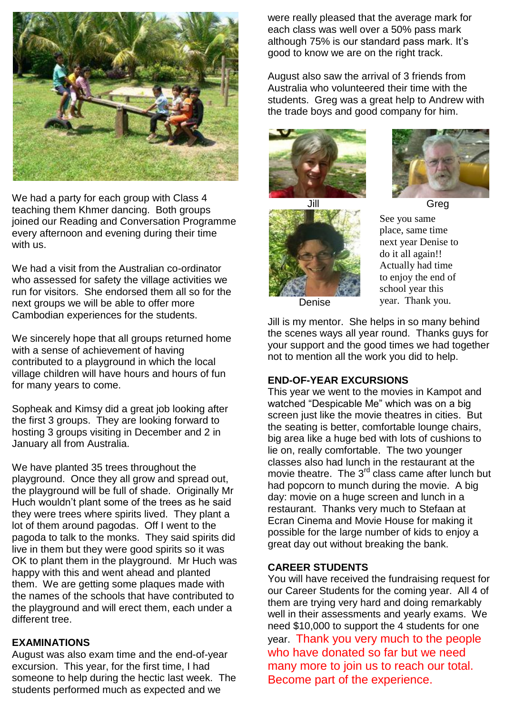

We had a party for each group with Class 4 teaching them Khmer dancing. Both groups joined our Reading and Conversation Programme every afternoon and evening during their time with us.

We had a visit from the Australian co-ordinator who assessed for safety the village activities we run for visitors. She endorsed them all so for the next groups we will be able to offer more Cambodian experiences for the students.

We sincerely hope that all groups returned home with a sense of achievement of having contributed to a playground in which the local village children will have hours and hours of fun for many years to come.

Sopheak and Kimsy did a great job looking after the first 3 groups. They are looking forward to hosting 3 groups visiting in December and 2 in January all from Australia.

We have planted 35 trees throughout the playground. Once they all grow and spread out, the playground will be full of shade. Originally Mr Huch wouldn't plant some of the trees as he said they were trees where spirits lived. They plant a lot of them around pagodas. Off I went to the pagoda to talk to the monks. They said spirits did live in them but they were good spirits so it was OK to plant them in the playground. Mr Huch was happy with this and went ahead and planted them. We are getting some plaques made with the names of the schools that have contributed to the playground and will erect them, each under a different tree.

#### **EXAMINATIONS**

August was also exam time and the end-of-year excursion. This year, for the first time, I had someone to help during the hectic last week. The students performed much as expected and we

were really pleased that the average mark for each class was well over a 50% pass mark although 75% is our standard pass mark. It's good to know we are on the right track.

August also saw the arrival of 3 friends from Australia who volunteered their time with the students. Greg was a great help to Andrew with the trade boys and good company for him.





See you same place, same time next year Denise to do it all again!! Actually had time to enjoy the end of school year this year. Thank you.

Denise

Jill is my mentor. She helps in so many behind the scenes ways all year round. Thanks guys for your support and the good times we had together not to mention all the work you did to help.

#### **END-OF-YEAR EXCURSIONS**

This year we went to the movies in Kampot and watched "Despicable Me" which was on a big screen just like the movie theatres in cities. But the seating is better, comfortable lounge chairs, big area like a huge bed with lots of cushions to lie on, really comfortable. The two younger classes also had lunch in the restaurant at the movie theatre. The 3<sup>rd</sup> class came after lunch but had popcorn to munch during the movie. A big day: movie on a huge screen and lunch in a restaurant. Thanks very much to Stefaan at Ecran Cinema and Movie House for making it possible for the large number of kids to enjoy a great day out without breaking the bank.

#### **CAREER STUDENTS**

You will have received the fundraising request for our Career Students for the coming year. All 4 of them are trying very hard and doing remarkably well in their assessments and yearly exams. We need \$10,000 to support the 4 students for one year. Thank you very much to the people who have donated so far but we need many more to join us to reach our total. Become part of the experience.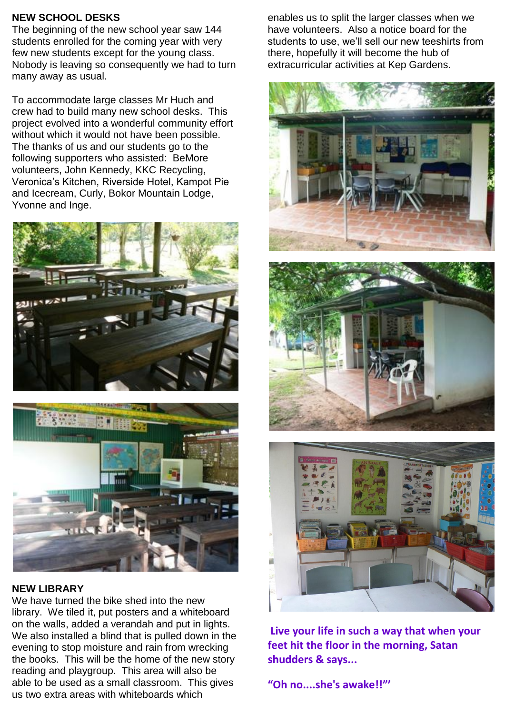### **NEW SCHOOL DESKS**

The beginning of the new school year saw 144 students enrolled for the coming year with very few new students except for the young class. Nobody is leaving so consequently we had to turn many away as usual.

To accommodate large classes Mr Huch and crew had to build many new school desks. This project evolved into a wonderful community effort without which it would not have been possible. The thanks of us and our students go to the following supporters who assisted: BeMore volunteers, John Kennedy, KKC Recycling, Veronica's Kitchen, Riverside Hotel, Kampot Pie and Icecream, Curly, Bokor Mountain Lodge, Yvonne and Inge.





#### **NEW LIBRARY**

We have turned the bike shed into the new library. We tiled it, put posters and a whiteboard on the walls, added a verandah and put in lights. We also installed a blind that is pulled down in the evening to stop moisture and rain from wrecking the books. This will be the home of the new story reading and playgroup. This area will also be able to be used as a small classroom. This gives us two extra areas with whiteboards which

enables us to split the larger classes when we have volunteers. Also a notice board for the students to use, we'll sell our new teeshirts from there, hopefully it will become the hub of extracurricular activities at Kep Gardens.







**Live your life in such a way that when your feet hit the floor in the morning, Satan shudders & says...** 

**"Oh no....she's awake!!"'**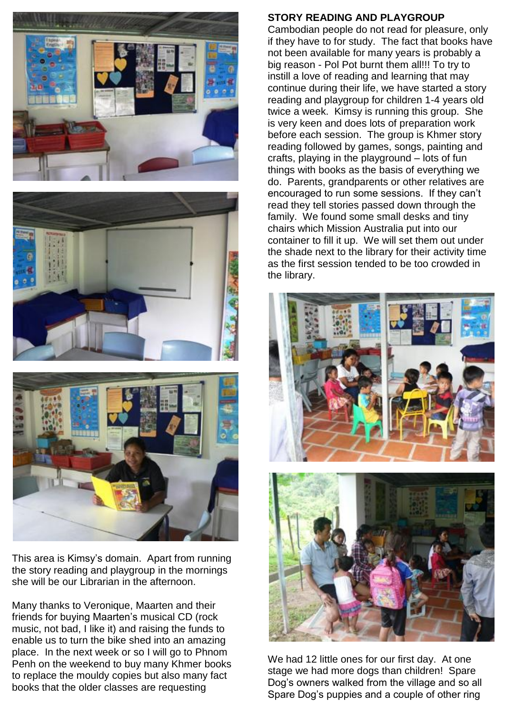





This area is Kimsy's domain. Apart from running the story reading and playgroup in the mornings she will be our Librarian in the afternoon.

Many thanks to Veronique, Maarten and their friends for buying Maarten's musical CD (rock music, not bad, I like it) and raising the funds to enable us to turn the bike shed into an amazing place. In the next week or so I will go to Phnom Penh on the weekend to buy many Khmer books to replace the mouldy copies but also many fact books that the older classes are requesting

#### **STORY READING AND PLAYGROUP**

Cambodian people do not read for pleasure, only if they have to for study. The fact that books have not been available for many years is probably a big reason - Pol Pot burnt them all!!! To try to instill a love of reading and learning that may continue during their life, we have started a story reading and playgroup for children 1-4 years old twice a week. Kimsy is running this group. She is very keen and does lots of preparation work before each session. The group is Khmer story reading followed by games, songs, painting and crafts, playing in the playground – lots of fun things with books as the basis of everything we do. Parents, grandparents or other relatives are encouraged to run some sessions. If they can't read they tell stories passed down through the family. We found some small desks and tiny chairs which Mission Australia put into our container to fill it up. We will set them out under the shade next to the library for their activity time as the first session tended to be too crowded in the library.



We had 12 little ones for our first day. At one stage we had more dogs than children! Spare Dog's owners walked from the village and so all Spare Dog's puppies and a couple of other ring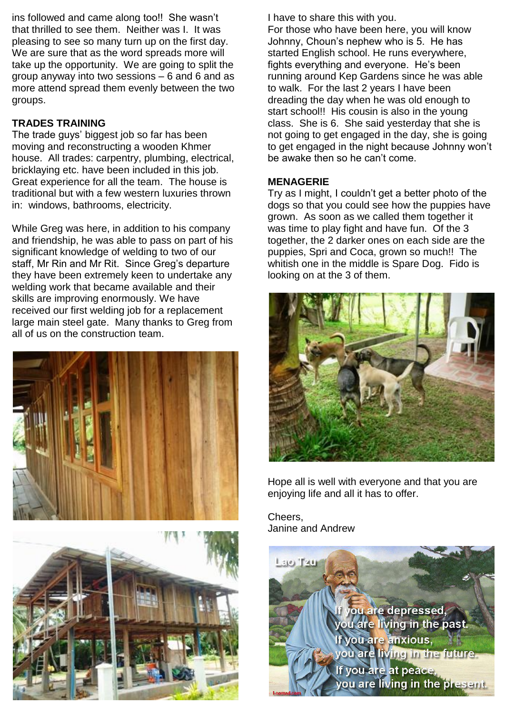ins followed and came along too!! She wasn't that thrilled to see them. Neither was I. It was pleasing to see so many turn up on the first day. We are sure that as the word spreads more will take up the opportunity. We are going to split the group anyway into two sessions – 6 and 6 and as more attend spread them evenly between the two groups.

# **TRADES TRAINING**

The trade guys' biggest job so far has been moving and reconstructing a wooden Khmer house. All trades: carpentry, plumbing, electrical, bricklaying etc. have been included in this job. Great experience for all the team. The house is traditional but with a few western luxuries thrown in: windows, bathrooms, electricity.

While Greg was here, in addition to his company and friendship, he was able to pass on part of his significant knowledge of welding to two of our staff, Mr Rin and Mr Rit. Since Greg's departure they have been extremely keen to undertake any welding work that became available and their skills are improving enormously. We have received our first welding job for a replacement large main steel gate. Many thanks to Greg from all of us on the construction team.





I have to share this with you.

For those who have been here, you will know Johnny, Choun's nephew who is 5. He has started English school. He runs everywhere, fights everything and everyone. He's been running around Kep Gardens since he was able to walk. For the last 2 years I have been dreading the day when he was old enough to start school!! His cousin is also in the young class. She is 6. She said yesterday that she is not going to get engaged in the day, she is going to get engaged in the night because Johnny won't be awake then so he can't come.

## **MENAGERIE**

Try as I might, I couldn't get a better photo of the dogs so that you could see how the puppies have grown. As soon as we called them together it was time to play fight and have fun. Of the 3 together, the 2 darker ones on each side are the puppies, Spri and Coca, grown so much!! The whitish one in the middle is Spare Dog. Fido is looking on at the 3 of them.



Hope all is well with everyone and that you are enjoying life and all it has to offer.

Cheers, Janine and Andrew